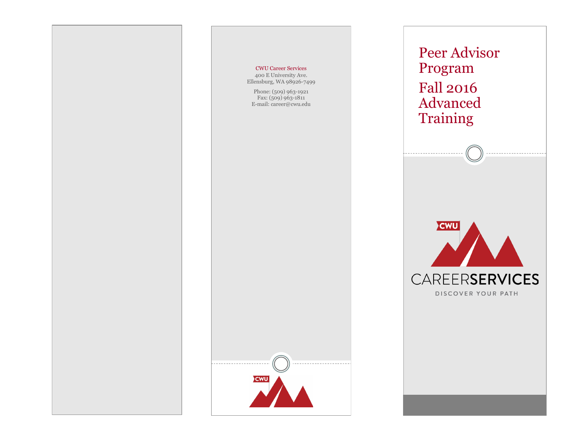